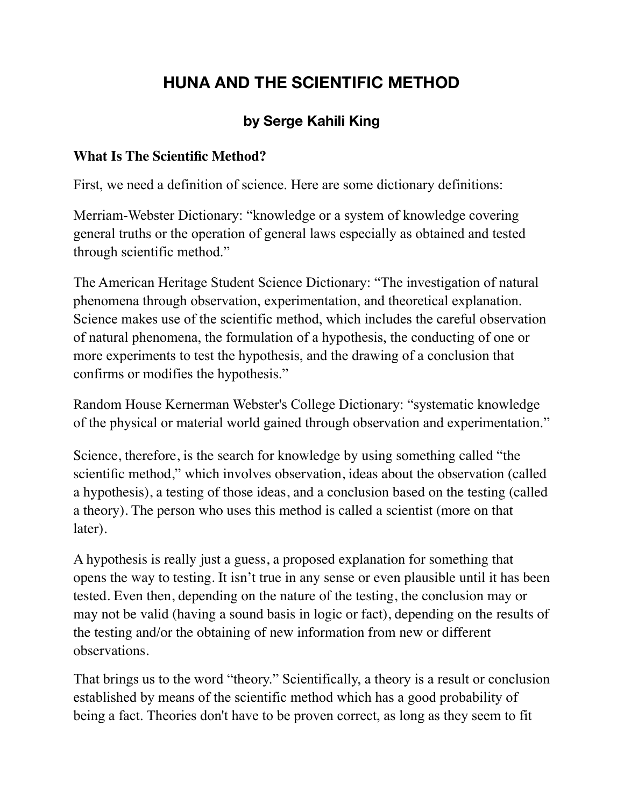## **HUNA AND THE SCIENTIFIC METHOD**

## **by Serge Kahili King**

## **What Is The Scientific Method?**

First, we need a definition of science. Here are some dictionary definitions:

Merriam-Webster Dictionary: "knowledge or a system of knowledge covering general truths or the operation of general laws especially as obtained and tested through scientific method."

The American Heritage Student Science Dictionary: "The investigation of natural phenomena through observation, experimentation, and theoretical explanation. Science makes use of the scientific method, which includes the careful observation of natural phenomena, the formulation of a hypothesis, the conducting of one or more experiments to test the hypothesis, and the drawing of a conclusion that confirms or modifies the hypothesis."

Random House Kernerman Webster's College Dictionary: "systematic knowledge of the physical or material world gained through observation and experimentation."

Science, therefore, is the search for knowledge by using something called "the scientific method," which involves observation, ideas about the observation (called a hypothesis), a testing of those ideas, and a conclusion based on the testing (called a theory). The person who uses this method is called a scientist (more on that later).

A hypothesis is really just a guess, a proposed explanation for something that opens the way to testing. It isn't true in any sense or even plausible until it has been tested. Even then, depending on the nature of the testing, the conclusion may or may not be valid (having a sound basis in logic or fact), depending on the results of the testing and/or the obtaining of new information from new or different observations.

That brings us to the word "theory." Scientifically, a theory is a result or conclusion established by means of the scientific method which has a good probability of being a fact. Theories don't have to be proven correct, as long as they seem to fit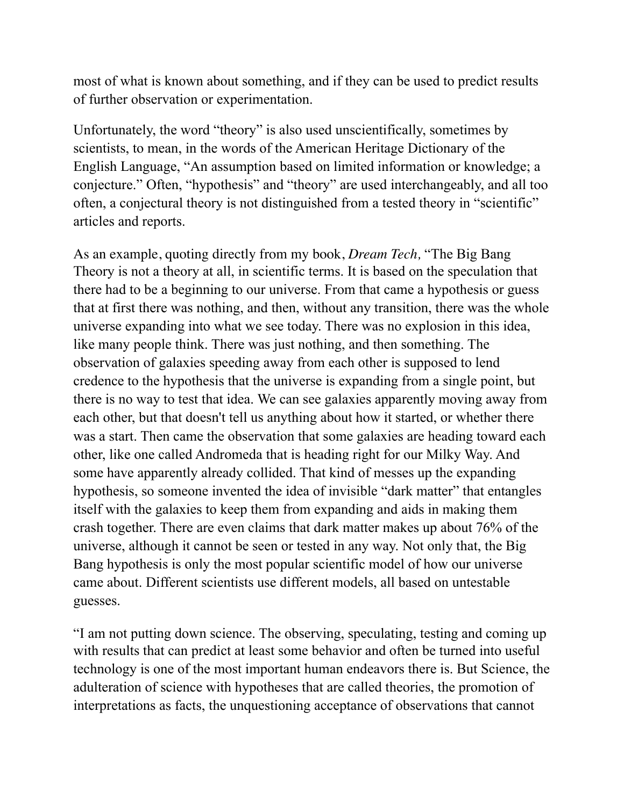most of what is known about something, and if they can be used to predict results of further observation or experimentation.

Unfortunately, the word "theory" is also used unscientifically, sometimes by scientists, to mean, in the words of the American Heritage Dictionary of the English Language, "An assumption based on limited information or knowledge; a conjecture." Often, "hypothesis" and "theory" are used interchangeably, and all too often, a conjectural theory is not distinguished from a tested theory in "scientific" articles and reports.

As an example, quoting directly from my book, *Dream Tech,* "The Big Bang Theory is not a theory at all, in scientific terms. It is based on the speculation that there had to be a beginning to our universe. From that came a hypothesis or guess that at first there was nothing, and then, without any transition, there was the whole universe expanding into what we see today. There was no explosion in this idea, like many people think. There was just nothing, and then something. The observation of galaxies speeding away from each other is supposed to lend credence to the hypothesis that the universe is expanding from a single point, but there is no way to test that idea. We can see galaxies apparently moving away from each other, but that doesn't tell us anything about how it started, or whether there was a start. Then came the observation that some galaxies are heading toward each other, like one called Andromeda that is heading right for our Milky Way. And some have apparently already collided. That kind of messes up the expanding hypothesis, so someone invented the idea of invisible "dark matter" that entangles itself with the galaxies to keep them from expanding and aids in making them crash together. There are even claims that dark matter makes up about 76% of the universe, although it cannot be seen or tested in any way. Not only that, the Big Bang hypothesis is only the most popular scientific model of how our universe came about. Different scientists use different models, all based on untestable guesses.

"I am not putting down science. The observing, speculating, testing and coming up with results that can predict at least some behavior and often be turned into useful technology is one of the most important human endeavors there is. But Science, the adulteration of science with hypotheses that are called theories, the promotion of interpretations as facts, the unquestioning acceptance of observations that cannot